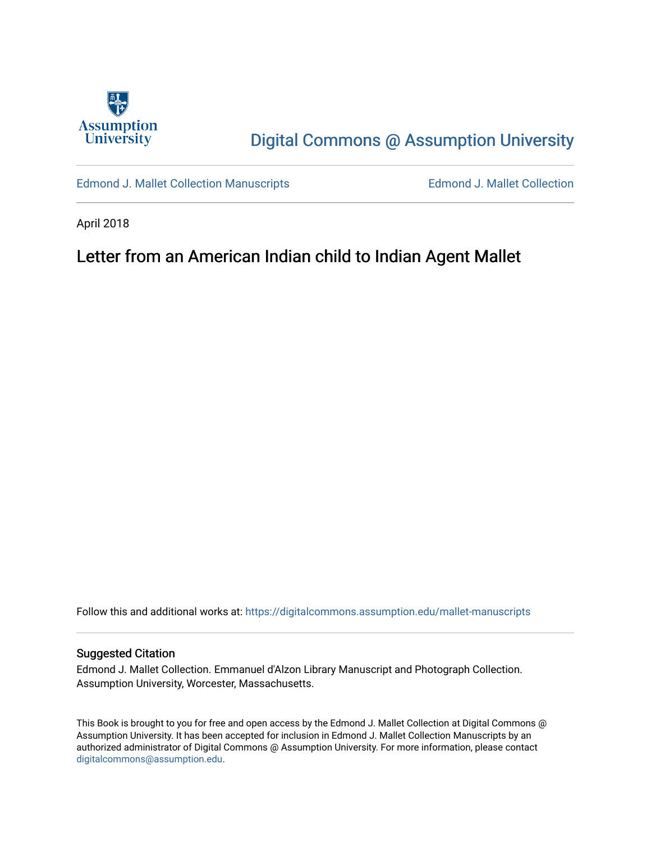

# [Digital Commons @ Assumption University](https://digitalcommons.assumption.edu/)

[Edmond J. Mallet Collection Manuscripts](https://digitalcommons.assumption.edu/mallet-manuscripts) **Edmond J. Mallet Collection** 

April 2018

## Letter from an American Indian child to Indian Agent Mallet

Follow this and additional works at: [https://digitalcommons.assumption.edu/mallet-manuscripts](https://digitalcommons.assumption.edu/mallet-manuscripts?utm_source=digitalcommons.assumption.edu%2Fmallet-manuscripts%2F2&utm_medium=PDF&utm_campaign=PDFCoverPages) 

#### Suggested Citation

Edmond J. Mallet Collection. Emmanuel d'Alzon Library Manuscript and Photograph Collection. Assumption University, Worcester, Massachusetts.

This Book is brought to you for free and open access by the Edmond J. Mallet Collection at Digital Commons @ Assumption University. It has been accepted for inclusion in Edmond J. Mallet Collection Manuscripts by an authorized administrator of Digital Commons @ Assumption University. For more information, please contact [digitalcommons@assumption.edu](mailto:digitalcommons@assumption.edu).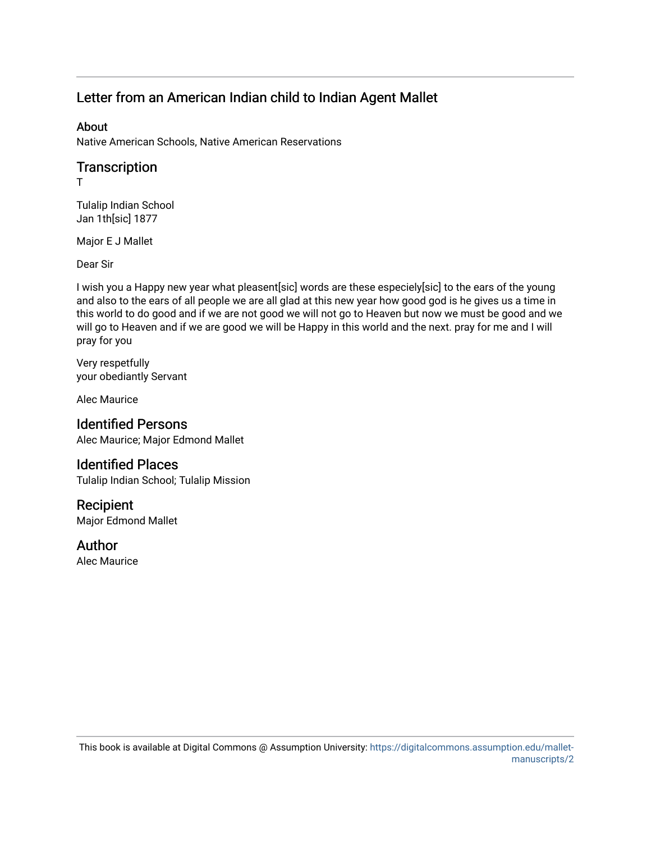### Letter from an American Indian child to Indian Agent Mallet

#### About

Native American Schools, Native American Reservations

#### **Transcription**

T

Tulalip Indian School Jan 1th[sic] 1877

Major E J Mallet

Dear Sir

I wish you a Happy new year what pleasent[sic] words are these especiely[sic] to the ears of the young and also to the ears of all people we are all glad at this new year how good god is he gives us a time in this world to do good and if we are not good we will not go to Heaven but now we must be good and we will go to Heaven and if we are good we will be Happy in this world and the next. pray for me and I will pray for you

Very respetfully your obediantly Servant

Alec Maurice

#### Identified Persons

Alec Maurice; Major Edmond Mallet

#### Identified Places

Tulalip Indian School; Tulalip Mission

#### Recipient

Major Edmond Mallet

#### Author

Alec Maurice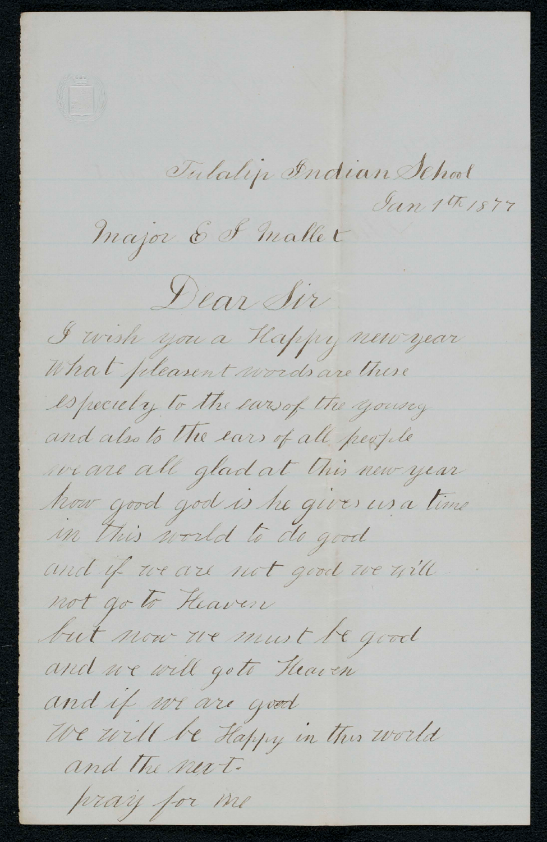

Tulalip Indian School Jan 1th 1877

Major & I mallet

Dear Sir

I wish you a Happy new year What pleasent words are these

especiely to the earsof the youring and also to the ears of all people we are all glad at this new year

how good god is he gives us a time in this world to do good

and if we are not good we will not go to Heaven

but now we must be good

and we will got Heaven and if we are good

We will be Happy in this world and the next.

pray for me